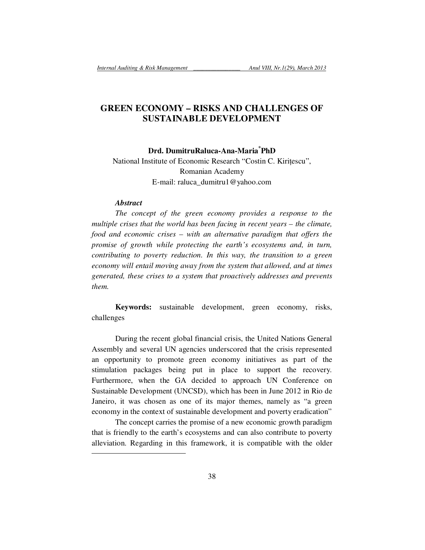# **GREEN ECONOMY – RISKS AND CHALLENGES OF SUSTAINABLE DEVELOPMENT**

## **Drd. DumitruRaluca-Ana-Maria\*PhD**

National Institute of Economic Research "Costin C. Kiritescu", Romanian Academy E-mail: raluca\_dumitru1@yahoo.com

#### *Abstract*

-

*The concept of the green economy provides a response to the multiple crises that the world has been facing in recent years – the climate, food and economic crises – with an alternative paradigm that offers the promise of growth while protecting the earth's ecosystems and, in turn, contributing to poverty reduction. In this way, the transition to a green economy will entail moving away from the system that allowed, and at times generated, these crises to a system that proactively addresses and prevents them.* 

**Keywords:** sustainable development, green economy, risks, challenges

During the recent global financial crisis, the United Nations General Assembly and several UN agencies underscored that the crisis represented an opportunity to promote green economy initiatives as part of the stimulation packages being put in place to support the recovery. Furthermore, when the GA decided to approach UN Conference on Sustainable Development (UNCSD), which has been in June 2012 in Rio de Janeiro, it was chosen as one of its major themes, namely as "a green economy in the context of sustainable development and poverty eradication"

The concept carries the promise of a new economic growth paradigm that is friendly to the earth's ecosystems and can also contribute to poverty alleviation. Regarding in this framework, it is compatible with the older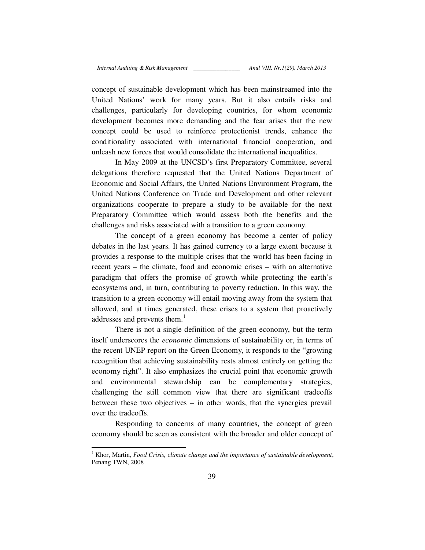concept of sustainable development which has been mainstreamed into the United Nations' work for many years. But it also entails risks and challenges, particularly for developing countries, for whom economic development becomes more demanding and the fear arises that the new concept could be used to reinforce protectionist trends, enhance the conditionality associated with international financial cooperation, and unleash new forces that would consolidate the international inequalities.

In May 2009 at the UNCSD's first Preparatory Committee, several delegations therefore requested that the United Nations Department of Economic and Social Affairs, the United Nations Environment Program, the United Nations Conference on Trade and Development and other relevant organizations cooperate to prepare a study to be available for the next Preparatory Committee which would assess both the benefits and the challenges and risks associated with a transition to a green economy.

The concept of a green economy has become a center of policy debates in the last years. It has gained currency to a large extent because it provides a response to the multiple crises that the world has been facing in recent years – the climate, food and economic crises – with an alternative paradigm that offers the promise of growth while protecting the earth's ecosystems and, in turn, contributing to poverty reduction. In this way, the transition to a green economy will entail moving away from the system that allowed, and at times generated, these crises to a system that proactively addresses and prevents them.<sup>1</sup>

There is not a single definition of the green economy, but the term itself underscores the *economic* dimensions of sustainability or, in terms of the recent UNEP report on the Green Economy, it responds to the "growing recognition that achieving sustainability rests almost entirely on getting the economy right". It also emphasizes the crucial point that economic growth and environmental stewardship can be complementary strategies, challenging the still common view that there are significant tradeoffs between these two objectives – in other words, that the synergies prevail over the tradeoffs.

Responding to concerns of many countries, the concept of green economy should be seen as consistent with the broader and older concept of

<sup>&</sup>lt;sup>1</sup> Khor, Martin, *Food Crisis, climate change and the importance of sustainable development,* Penang TWN, 2008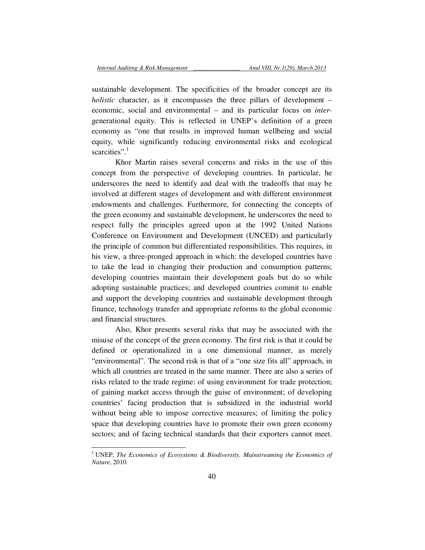sustainable development. The specificities of the broader concept are its *holistic* character, as it encompasses the three pillars of development – economic, social and environmental – and its particular focus on *inter*generational equity. This is reflected in UNEP's definition of a green economy as "one that results in improved human wellbeing and social equity, while significantly reducing environmental risks and ecological scarcities". $1$ 

Khor Martin raises several concerns and risks in the use of this concept from the perspective of developing countries. In particular, he underscores the need to identify and deal with the tradeoffs that may be involved at different stages of development and with different environment endowments and challenges. Furthermore, for connecting the concepts of the green economy and sustainable development, he underscores the need to respect fully the principles agreed upon at the 1992 United Nations Conference on Environment and Development (UNCED) and particularly the principle of common but differentiated responsibilities. This requires, in his view, a three-pronged approach in which: the developed countries have to take the lead in changing their production and consumption patterns; developing countries maintain their development goals but do so while adopting sustainable practices; and developed countries commit to enable and support the developing countries and sustainable development through finance, technology transfer and appropriate reforms to the global economic and financial structures.

Also, Khor presents several risks that may be associated with the misuse of the concept of the green economy. The first risk is that it could be defined or operationalized in a one dimensional manner, as merely "environmental". The second risk is that of a "one size fits all" approach, in which all countries are treated in the same manner. There are also a series of risks related to the trade regime: of using environment for trade protection; of gaining market access through the guise of environment; of developing countries' facing production that is subsidized in the industrial world without being able to impose corrective measures; of limiting the policy space that developing countries have to promote their own green economy sectors; and of facing technical standards that their exporters cannot meet.

<sup>&</sup>lt;sup>1</sup> UNEP, The Economics of Ecosystems & Biodiversity. Mainstreaming the Economics of *Nature*, 2010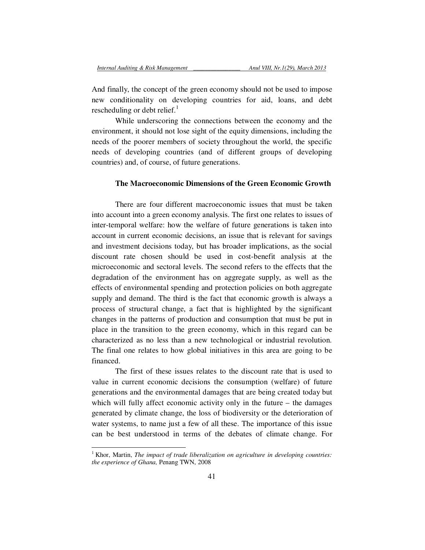And finally, the concept of the green economy should not be used to impose new conditionality on developing countries for aid, loans, and debt rescheduling or debt relief. $<sup>1</sup>$ </sup>

While underscoring the connections between the economy and the environment, it should not lose sight of the equity dimensions, including the needs of the poorer members of society throughout the world, the specific needs of developing countries (and of different groups of developing countries) and, of course, of future generations.

# **The Macroeconomic Dimensions of the Green Economic Growth**

There are four different macroeconomic issues that must be taken into account into a green economy analysis. The first one relates to issues of inter-temporal welfare: how the welfare of future generations is taken into account in current economic decisions, an issue that is relevant for savings and investment decisions today, but has broader implications, as the social discount rate chosen should be used in cost-benefit analysis at the microeconomic and sectoral levels. The second refers to the effects that the degradation of the environment has on aggregate supply, as well as the effects of environmental spending and protection policies on both aggregate supply and demand. The third is the fact that economic growth is always a process of structural change, a fact that is highlighted by the significant changes in the patterns of production and consumption that must be put in place in the transition to the green economy, which in this regard can be characterized as no less than a new technological or industrial revolution. The final one relates to how global initiatives in this area are going to be financed.

The first of these issues relates to the discount rate that is used to value in current economic decisions the consumption (welfare) of future generations and the environmental damages that are being created today but which will fully affect economic activity only in the future – the damages generated by climate change, the loss of biodiversity or the deterioration of water systems, to name just a few of all these. The importance of this issue can be best understood in terms of the debates of climate change. For

<sup>&</sup>lt;sup>1</sup> Khor, Martin, *The impact of trade liberalization on agriculture in developing countries: the experience of Ghana,* Penang TWN, 2008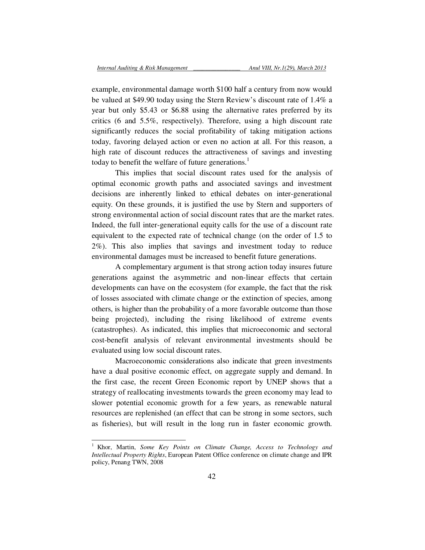example, environmental damage worth \$100 half a century from now would be valued at \$49.90 today using the Stern Review's discount rate of 1.4% a year but only \$5.43 or \$6.88 using the alternative rates preferred by its critics (6 and 5.5%, respectively). Therefore, using a high discount rate significantly reduces the social profitability of taking mitigation actions today, favoring delayed action or even no action at all. For this reason, a high rate of discount reduces the attractiveness of savings and investing today to benefit the welfare of future generations.<sup>1</sup>

This implies that social discount rates used for the analysis of optimal economic growth paths and associated savings and investment decisions are inherently linked to ethical debates on inter-generational equity. On these grounds, it is justified the use by Stern and supporters of strong environmental action of social discount rates that are the market rates. Indeed, the full inter-generational equity calls for the use of a discount rate equivalent to the expected rate of technical change (on the order of 1.5 to 2%). This also implies that savings and investment today to reduce environmental damages must be increased to benefit future generations.

A complementary argument is that strong action today insures future generations against the asymmetric and non-linear effects that certain developments can have on the ecosystem (for example, the fact that the risk of losses associated with climate change or the extinction of species, among others, is higher than the probability of a more favorable outcome than those being projected), including the rising likelihood of extreme events (catastrophes). As indicated, this implies that microeconomic and sectoral cost-benefit analysis of relevant environmental investments should be evaluated using low social discount rates.

Macroeconomic considerations also indicate that green investments have a dual positive economic effect, on aggregate supply and demand. In the first case, the recent Green Economic report by UNEP shows that a strategy of reallocating investments towards the green economy may lead to slower potential economic growth for a few years, as renewable natural resources are replenished (an effect that can be strong in some sectors, such as fisheries), but will result in the long run in faster economic growth.

 1 Khor, Martin, *Some Key Points on Climate Change, Access to Technology and Intellectual Property Rights*, European Patent Office conference on climate change and IPR policy, Penang TWN, 2008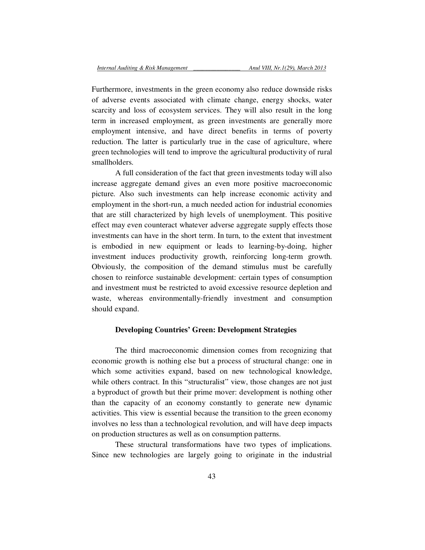Furthermore, investments in the green economy also reduce downside risks of adverse events associated with climate change, energy shocks, water scarcity and loss of ecosystem services. They will also result in the long term in increased employment, as green investments are generally more employment intensive, and have direct benefits in terms of poverty reduction. The latter is particularly true in the case of agriculture, where green technologies will tend to improve the agricultural productivity of rural smallholders.

A full consideration of the fact that green investments today will also increase aggregate demand gives an even more positive macroeconomic picture. Also such investments can help increase economic activity and employment in the short-run, a much needed action for industrial economies that are still characterized by high levels of unemployment. This positive effect may even counteract whatever adverse aggregate supply effects those investments can have in the short term. In turn, to the extent that investment is embodied in new equipment or leads to learning-by-doing, higher investment induces productivity growth, reinforcing long-term growth. Obviously, the composition of the demand stimulus must be carefully chosen to reinforce sustainable development: certain types of consumption and investment must be restricted to avoid excessive resource depletion and waste, whereas environmentally-friendly investment and consumption should expand.

## **Developing Countries' Green: Development Strategies**

The third macroeconomic dimension comes from recognizing that economic growth is nothing else but a process of structural change: one in which some activities expand, based on new technological knowledge, while others contract. In this "structuralist" view, those changes are not just a byproduct of growth but their prime mover: development is nothing other than the capacity of an economy constantly to generate new dynamic activities. This view is essential because the transition to the green economy involves no less than a technological revolution, and will have deep impacts on production structures as well as on consumption patterns.

These structural transformations have two types of implications. Since new technologies are largely going to originate in the industrial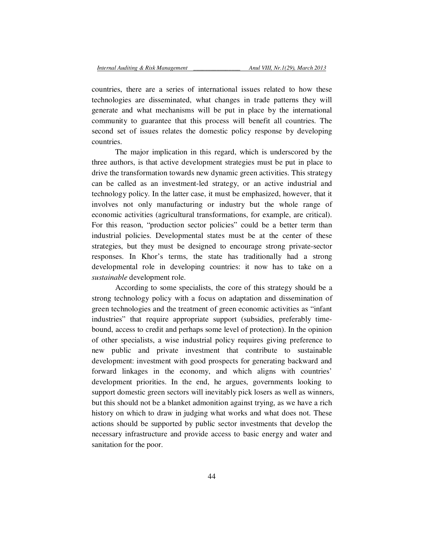countries, there are a series of international issues related to how these technologies are disseminated, what changes in trade patterns they will generate and what mechanisms will be put in place by the international community to guarantee that this process will benefit all countries. The second set of issues relates the domestic policy response by developing countries.

The major implication in this regard, which is underscored by the three authors, is that active development strategies must be put in place to drive the transformation towards new dynamic green activities. This strategy can be called as an investment-led strategy, or an active industrial and technology policy. In the latter case, it must be emphasized, however, that it involves not only manufacturing or industry but the whole range of economic activities (agricultural transformations, for example, are critical). For this reason, "production sector policies" could be a better term than industrial policies. Developmental states must be at the center of these strategies, but they must be designed to encourage strong private-sector responses. In Khor's terms, the state has traditionally had a strong developmental role in developing countries: it now has to take on a *sustainable* development role.

According to some specialists, the core of this strategy should be a strong technology policy with a focus on adaptation and dissemination of green technologies and the treatment of green economic activities as "infant industries" that require appropriate support (subsidies, preferably timebound, access to credit and perhaps some level of protection). In the opinion of other specialists, a wise industrial policy requires giving preference to new public and private investment that contribute to sustainable development: investment with good prospects for generating backward and forward linkages in the economy, and which aligns with countries' development priorities. In the end, he argues, governments looking to support domestic green sectors will inevitably pick losers as well as winners, but this should not be a blanket admonition against trying, as we have a rich history on which to draw in judging what works and what does not. These actions should be supported by public sector investments that develop the necessary infrastructure and provide access to basic energy and water and sanitation for the poor.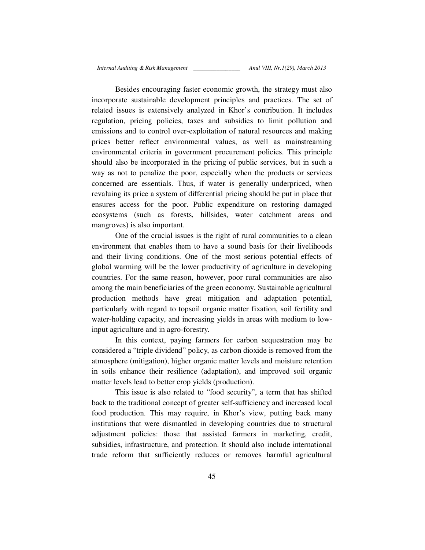Besides encouraging faster economic growth, the strategy must also incorporate sustainable development principles and practices. The set of related issues is extensively analyzed in Khor's contribution. It includes regulation, pricing policies, taxes and subsidies to limit pollution and emissions and to control over-exploitation of natural resources and making prices better reflect environmental values, as well as mainstreaming environmental criteria in government procurement policies. This principle should also be incorporated in the pricing of public services, but in such a way as not to penalize the poor, especially when the products or services concerned are essentials. Thus, if water is generally underpriced, when revaluing its price a system of differential pricing should be put in place that ensures access for the poor. Public expenditure on restoring damaged ecosystems (such as forests, hillsides, water catchment areas and mangroves) is also important.

One of the crucial issues is the right of rural communities to a clean environment that enables them to have a sound basis for their livelihoods and their living conditions. One of the most serious potential effects of global warming will be the lower productivity of agriculture in developing countries. For the same reason, however, poor rural communities are also among the main beneficiaries of the green economy. Sustainable agricultural production methods have great mitigation and adaptation potential, particularly with regard to topsoil organic matter fixation, soil fertility and water-holding capacity, and increasing yields in areas with medium to lowinput agriculture and in agro-forestry.

In this context, paying farmers for carbon sequestration may be considered a "triple dividend" policy, as carbon dioxide is removed from the atmosphere (mitigation), higher organic matter levels and moisture retention in soils enhance their resilience (adaptation), and improved soil organic matter levels lead to better crop yields (production).

This issue is also related to "food security", a term that has shifted back to the traditional concept of greater self-sufficiency and increased local food production. This may require, in Khor's view, putting back many institutions that were dismantled in developing countries due to structural adjustment policies: those that assisted farmers in marketing, credit, subsidies, infrastructure, and protection. It should also include international trade reform that sufficiently reduces or removes harmful agricultural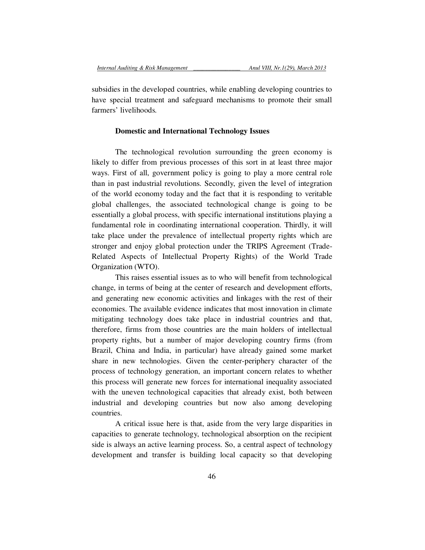subsidies in the developed countries, while enabling developing countries to have special treatment and safeguard mechanisms to promote their small farmers' livelihoods.

## **Domestic and International Technology Issues**

The technological revolution surrounding the green economy is likely to differ from previous processes of this sort in at least three major ways. First of all, government policy is going to play a more central role than in past industrial revolutions. Secondly, given the level of integration of the world economy today and the fact that it is responding to veritable global challenges, the associated technological change is going to be essentially a global process, with specific international institutions playing a fundamental role in coordinating international cooperation. Thirdly, it will take place under the prevalence of intellectual property rights which are stronger and enjoy global protection under the TRIPS Agreement (Trade-Related Aspects of Intellectual Property Rights) of the World Trade Organization (WTO).

This raises essential issues as to who will benefit from technological change, in terms of being at the center of research and development efforts, and generating new economic activities and linkages with the rest of their economies. The available evidence indicates that most innovation in climate mitigating technology does take place in industrial countries and that, therefore, firms from those countries are the main holders of intellectual property rights, but a number of major developing country firms (from Brazil, China and India, in particular) have already gained some market share in new technologies. Given the center-periphery character of the process of technology generation, an important concern relates to whether this process will generate new forces for international inequality associated with the uneven technological capacities that already exist, both between industrial and developing countries but now also among developing countries.

A critical issue here is that, aside from the very large disparities in capacities to generate technology, technological absorption on the recipient side is always an active learning process. So, a central aspect of technology development and transfer is building local capacity so that developing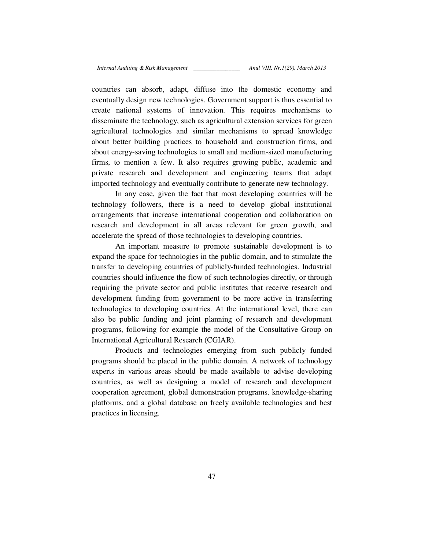countries can absorb, adapt, diffuse into the domestic economy and eventually design new technologies. Government support is thus essential to create national systems of innovation. This requires mechanisms to disseminate the technology, such as agricultural extension services for green agricultural technologies and similar mechanisms to spread knowledge about better building practices to household and construction firms, and about energy-saving technologies to small and medium-sized manufacturing firms, to mention a few. It also requires growing public, academic and private research and development and engineering teams that adapt imported technology and eventually contribute to generate new technology.

In any case, given the fact that most developing countries will be technology followers, there is a need to develop global institutional arrangements that increase international cooperation and collaboration on research and development in all areas relevant for green growth, and accelerate the spread of those technologies to developing countries.

An important measure to promote sustainable development is to expand the space for technologies in the public domain, and to stimulate the transfer to developing countries of publicly-funded technologies. Industrial countries should influence the flow of such technologies directly, or through requiring the private sector and public institutes that receive research and development funding from government to be more active in transferring technologies to developing countries. At the international level, there can also be public funding and joint planning of research and development programs, following for example the model of the Consultative Group on International Agricultural Research (CGIAR).

Products and technologies emerging from such publicly funded programs should be placed in the public domain. A network of technology experts in various areas should be made available to advise developing countries, as well as designing a model of research and development cooperation agreement, global demonstration programs, knowledge-sharing platforms, and a global database on freely available technologies and best practices in licensing.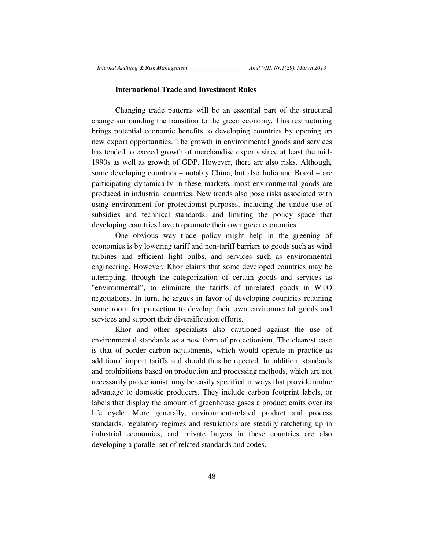### **International Trade and Investment Rules**

Changing trade patterns will be an essential part of the structural change surrounding the transition to the green economy. This restructuring brings potential economic benefits to developing countries by opening up new export opportunities. The growth in environmental goods and services has tended to exceed growth of merchandise exports since at least the mid-1990s as well as growth of GDP. However, there are also risks. Although, some developing countries – notably China, but also India and Brazil – are participating dynamically in these markets, most environmental goods are produced in industrial countries. New trends also pose risks associated with using environment for protectionist purposes, including the undue use of subsidies and technical standards, and limiting the policy space that developing countries have to promote their own green economies.

One obvious way trade policy might help in the greening of economies is by lowering tariff and non-tariff barriers to goods such as wind turbines and efficient light bulbs, and services such as environmental engineering. However, Khor claims that some developed countries may be attempting, through the categorization of certain goods and services as "environmental", to eliminate the tariffs of unrelated goods in WTO negotiations. In turn, he argues in favor of developing countries retaining some room for protection to develop their own environmental goods and services and support their diversification efforts.

Khor and other specialists also cautioned against the use of environmental standards as a new form of protectionism. The clearest case is that of border carbon adjustments, which would operate in practice as additional import tariffs and should thus be rejected. In addition, standards and prohibitions based on production and processing methods, which are not necessarily protectionist, may be easily specified in ways that provide undue advantage to domestic producers. They include carbon footprint labels, or labels that display the amount of greenhouse gases a product emits over its life cycle. More generally, environment-related product and process standards, regulatory regimes and restrictions are steadily ratcheting up in industrial economies, and private buyers in these countries are also developing a parallel set of related standards and codes.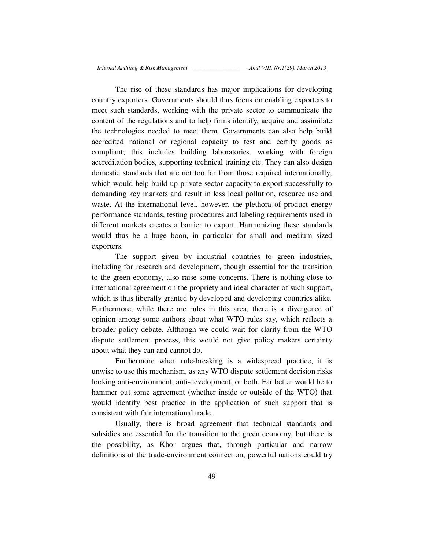The rise of these standards has major implications for developing country exporters. Governments should thus focus on enabling exporters to meet such standards, working with the private sector to communicate the content of the regulations and to help firms identify, acquire and assimilate the technologies needed to meet them. Governments can also help build accredited national or regional capacity to test and certify goods as compliant; this includes building laboratories, working with foreign accreditation bodies, supporting technical training etc. They can also design domestic standards that are not too far from those required internationally, which would help build up private sector capacity to export successfully to demanding key markets and result in less local pollution, resource use and waste. At the international level, however, the plethora of product energy performance standards, testing procedures and labeling requirements used in different markets creates a barrier to export. Harmonizing these standards would thus be a huge boon, in particular for small and medium sized exporters.

The support given by industrial countries to green industries, including for research and development, though essential for the transition to the green economy, also raise some concerns. There is nothing close to international agreement on the propriety and ideal character of such support, which is thus liberally granted by developed and developing countries alike. Furthermore, while there are rules in this area, there is a divergence of opinion among some authors about what WTO rules say, which reflects a broader policy debate. Although we could wait for clarity from the WTO dispute settlement process, this would not give policy makers certainty about what they can and cannot do.

Furthermore when rule-breaking is a widespread practice, it is unwise to use this mechanism, as any WTO dispute settlement decision risks looking anti-environment, anti-development, or both. Far better would be to hammer out some agreement (whether inside or outside of the WTO) that would identify best practice in the application of such support that is consistent with fair international trade.

Usually, there is broad agreement that technical standards and subsidies are essential for the transition to the green economy, but there is the possibility, as Khor argues that, through particular and narrow definitions of the trade-environment connection, powerful nations could try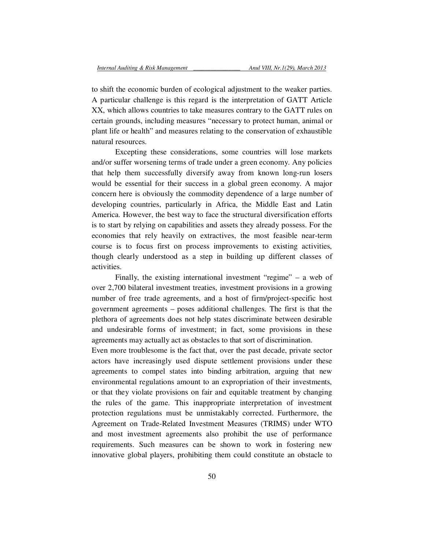to shift the economic burden of ecological adjustment to the weaker parties. A particular challenge is this regard is the interpretation of GATT Article XX, which allows countries to take measures contrary to the GATT rules on certain grounds, including measures "necessary to protect human, animal or plant life or health" and measures relating to the conservation of exhaustible natural resources.

Excepting these considerations, some countries will lose markets and/or suffer worsening terms of trade under a green economy. Any policies that help them successfully diversify away from known long-run losers would be essential for their success in a global green economy. A major concern here is obviously the commodity dependence of a large number of developing countries, particularly in Africa, the Middle East and Latin America. However, the best way to face the structural diversification efforts is to start by relying on capabilities and assets they already possess. For the economies that rely heavily on extractives, the most feasible near-term course is to focus first on process improvements to existing activities, though clearly understood as a step in building up different classes of activities.

Finally, the existing international investment "regime" – a web of over 2,700 bilateral investment treaties, investment provisions in a growing number of free trade agreements, and a host of firm/project-specific host government agreements – poses additional challenges. The first is that the plethora of agreements does not help states discriminate between desirable and undesirable forms of investment; in fact, some provisions in these agreements may actually act as obstacles to that sort of discrimination.

Even more troublesome is the fact that, over the past decade, private sector actors have increasingly used dispute settlement provisions under these agreements to compel states into binding arbitration, arguing that new environmental regulations amount to an expropriation of their investments, or that they violate provisions on fair and equitable treatment by changing the rules of the game. This inappropriate interpretation of investment protection regulations must be unmistakably corrected. Furthermore, the Agreement on Trade-Related Investment Measures (TRIMS) under WTO and most investment agreements also prohibit the use of performance requirements. Such measures can be shown to work in fostering new innovative global players, prohibiting them could constitute an obstacle to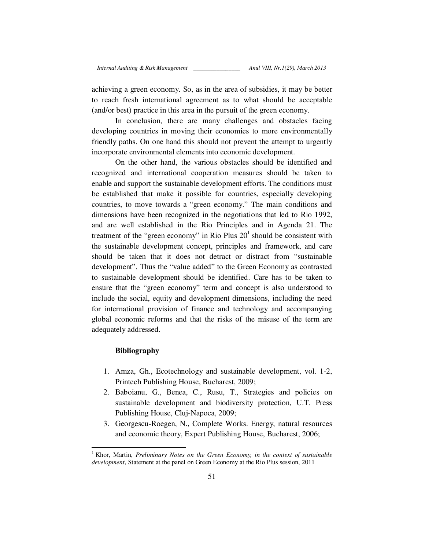achieving a green economy. So, as in the area of subsidies, it may be better to reach fresh international agreement as to what should be acceptable (and/or best) practice in this area in the pursuit of the green economy.

In conclusion, there are many challenges and obstacles facing developing countries in moving their economies to more environmentally friendly paths. On one hand this should not prevent the attempt to urgently incorporate environmental elements into economic development.

On the other hand, the various obstacles should be identified and recognized and international cooperation measures should be taken to enable and support the sustainable development efforts. The conditions must be established that make it possible for countries, especially developing countries, to move towards a "green economy." The main conditions and dimensions have been recognized in the negotiations that led to Rio 1992, and are well established in the Rio Principles and in Agenda 21. The treatment of the "green economy" in Rio Plus  $20<sup>1</sup>$  should be consistent with the sustainable development concept, principles and framework, and care should be taken that it does not detract or distract from "sustainable development". Thus the "value added" to the Green Economy as contrasted to sustainable development should be identified. Care has to be taken to ensure that the "green economy" term and concept is also understood to include the social, equity and development dimensions, including the need for international provision of finance and technology and accompanying global economic reforms and that the risks of the misuse of the term are adequately addressed.

# **Bibliography**

- 1. Amza, Gh., Ecotechnology and sustainable development, vol. 1-2, Printech Publishing House, Bucharest, 2009;
- 2. Baboianu, G., Benea, C., Rusu, T., Strategies and policies on sustainable development and biodiversity protection, U.T. Press Publishing House, Cluj-Napoca, 2009;
- 3. Georgescu-Roegen, N., Complete Works. Energy, natural resources and economic theory, Expert Publishing House, Bucharest, 2006;

<sup>&</sup>lt;sup>1</sup> Khor, Martin, *Preliminary Notes on the Green Economy, in the context of sustainable development*, Statement at the panel on Green Economy at the Rio Plus session, 2011